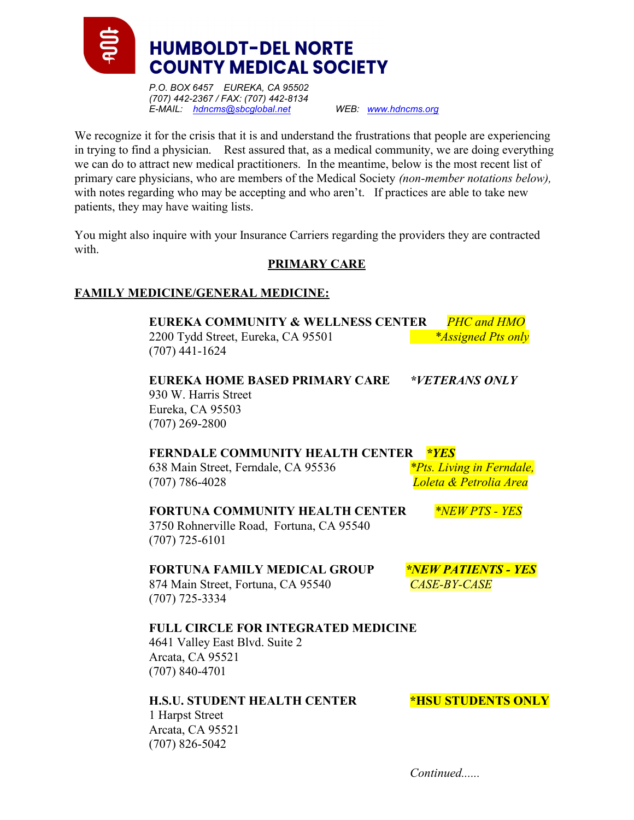

P.O. BOX 6457 EUREKA, CA 95502 (707) 442-2367 / FAX: (707) 442-8134 E-MAIL: hdncms@sbcglobal.net WEB: www.hdncms.org

We recognize it for the crisis that it is and understand the frustrations that people are experiencing in trying to find a physician. Rest assured that, as a medical community, we are doing everything we can do to attract new medical practitioners. In the meantime, below is the most recent list of primary care physicians, who are members of the Medical Society (non-member notations below), with notes regarding who may be accepting and who aren't. If practices are able to take new patients, they may have waiting lists.

You might also inquire with your Insurance Carriers regarding the providers they are contracted with.

### PRIMARY CARE

### FAMILY MEDICINE/GENERAL MEDICINE:

EUREKA COMMUNITY & WELLNESS CENTER PHC and HMO 2200 Tydd Street, Eureka, CA 95501 \*Assigned Pts only (707) 441-1624

EUREKA HOME BASED PRIMARY CARE \*VETERANS ONLY 930 W. Harris Street Eureka, CA 95503 (707) 269-2800

### FERNDALE COMMUNITY HEALTH CENTER \*YES

638 Main Street, Ferndale, CA 95536  $*Pts$ . Living in Ferndale, (707) 786-4028 Loleta & Petrolia Area

FORTUNA COMMUNITY HEALTH CENTER \*NEW PTS - YES 3750 Rohnerville Road, Fortuna, CA 95540 (707) 725-6101

### FORTUNA FAMILY MEDICAL GROUP \*NEW PATIENTS - YES 874 Main Street, Fortuna, CA 95540 CASE-BY-CASE (707) 725-3334

# FULL CIRCLE FOR INTEGRATED MEDICINE

4641 Valley East Blvd. Suite 2 Arcata, CA 95521 (707) 840-4701

# H.S.U. STUDENT HEALTH CENTER \*HSU STUDENTS ONLY

1 Harpst Street Arcata, CA 95521 (707) 826-5042

Continued......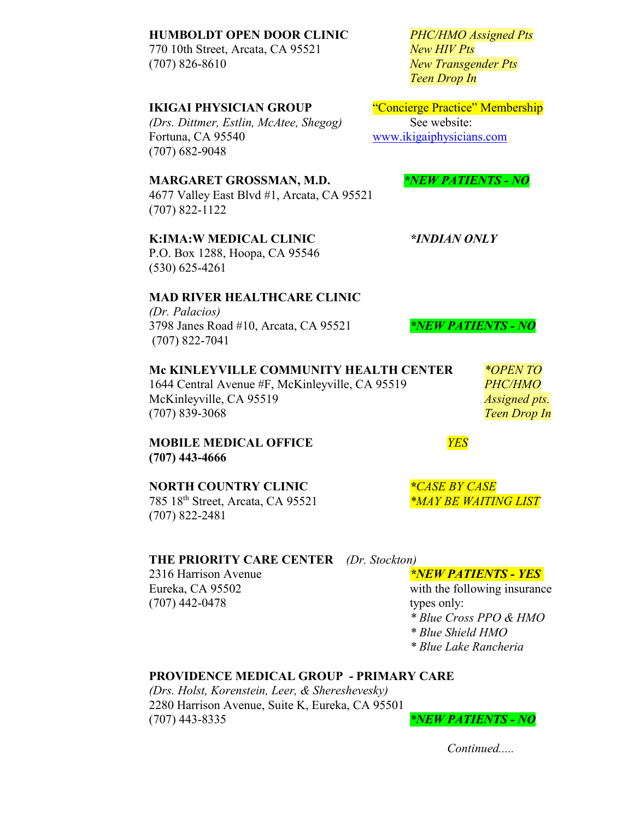#### HUMBOLDT OPEN DOOR CLINIC PHC/HMO Assigned Pts

770 10th Street, Arcata, CA 95521 New HIV Pts (707) 826-8610 New Transgender Pts

#### IKIGAI PHYSICIAN GROUP "Concierge Practice" Membership

(Drs. Dittmer, Estlin, McAtee, Shegog) See website: Fortuna, CA 95540 www.ikigaiphysicians.com (707) 682-9048

#### MARGARET GROSSMAN, M.D. \*NEW PATIENTS - NO

4677 Valley East Blvd #1, Arcata, CA 95521 (707) 822-1122

### K:IMA:W MEDICAL CLINIC \*INDIAN ONLY

P.O. Box 1288, Hoopa, CA 95546 (530) 625-4261

# MAD RIVER HEALTHCARE CLINIC

(Dr. Palacios) 3798 Janes Road #10, Arcata, CA 95521  $NEW$  PATIENTS - NO (707) 822-7041

Mc KINLEYVILLE COMMUNITY HEALTH CENTER  $*$ OPEN TO 1644 Central Avenue #F, McKinleyville, CA 95519 PHC/HMO McKinleyville, CA 95519 Assigned pts. (707) 839-3068 Teen Drop In

#### MOBILE MEDICAL OFFICE **The SET OF ALL ASSESS** (707) 443-4666

#### NORTH COUNTRY CLINIC THE SERVICASE

785 18<sup>th</sup> Street, Arcata, CA 95521 \*MAY BE WAITING LIST (707) 822-2481

# THE PRIORITY CARE CENTER (Dr. Stockton)

2316 Harrison Avenue **\*NEW PATIENTS - YES** (707) 442-0478 types only:

Eureka, CA 95502 with the following insurance \* Blue Cross PPO & HMO

\* Blue Shield HMO

\* Blue Lake Rancheria

#### PROVIDENCE MEDICAL GROUP - PRIMARY CARE

(Drs. Holst, Korenstein, Leer, & Shereshevesky) 2280 Harrison Avenue, Suite K, Eureka, CA 95501  $*$ NEW PATIENTS - NO

Continued.....

Teen Drop In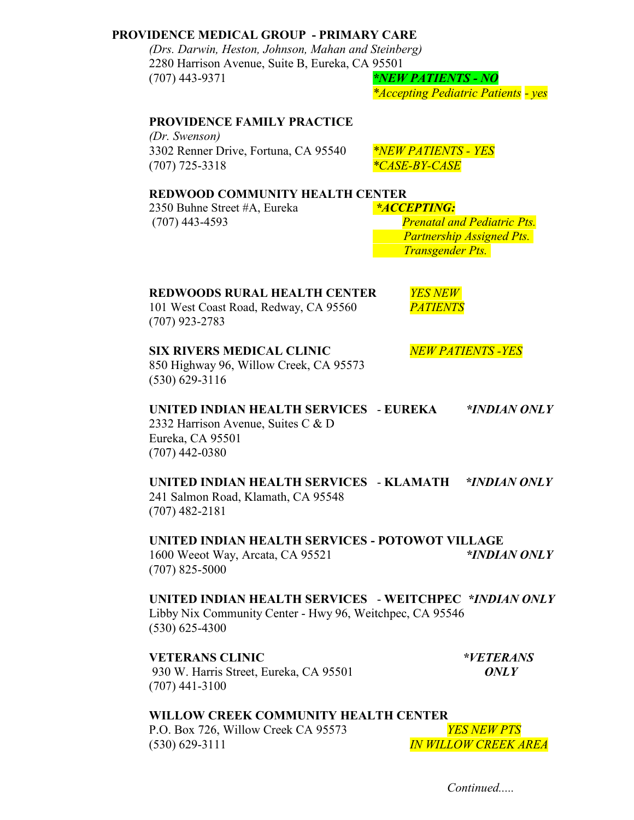### PROVIDENCE MEDICAL GROUP - PRIMARY CARE

(Drs. Darwin, Heston, Johnson, Mahan and Steinberg) 2280 Harrison Avenue, Suite B, Eureka, CA 95501 (707) 443-9371  $*NEW PATIENTS - NO$ 

\*Accepting Pediatric Patients - yes

#### PROVIDENCE FAMILY PRACTICE

(Dr. Swenson) 3302 Renner Drive, Fortuna, CA 95540 \*NEW PATIENTS - YES (707) 725-3318  $*CASE-BY-CASE$ 

#### REDWOOD COMMUNITY HEALTH CENTER

2350 Buhne Street #A, Eureka \*ACCEPTING: (707) 443-4593 Prenatal and Pediatric Pts.

 Partnership Assigned Pts. Transgender Pts.

# REDWOODS RURAL HEALTH CENTER *YES NEW*

101 West Coast Road, Redway, CA 95560 PATIENTS (707) 923-2783

SIX RIVERS MEDICAL CLINIC NEW PATIENTS - YES

850 Highway 96, Willow Creek, CA 95573 (530) 629-3116

# UNITED INDIAN HEALTH SERVICES - EUREKA \*INDIAN ONLY

2332 Harrison Avenue, Suites C & D Eureka, CA 95501 (707) 442-0380

### UNITED INDIAN HEALTH SERVICES - KLAMATH \*INDIAN ONLY

241 Salmon Road, Klamath, CA 95548 (707) 482-2181

UNITED INDIAN HEALTH SERVICES - POTOWOT VILLAGE 1600 Weeot Way, Arcata, CA 95521 \*INDIAN ONLY (707) 825-5000

#### UNITED INDIAN HEALTH SERVICES - WEITCHPEC \*INDIAN ONLY Libby Nix Community Center - Hwy 96, Weitchpec, CA 95546 (530) 625-4300

VETERANS CLINIC  $*VETERANS$ 930 W. Harris Street, Eureka, CA 95501 ONLY (707) 441-3100

# WILLOW CREEK COMMUNITY HEALTH CENTER

P.O. Box 726, Willow Creek CA 95573 YES NEW PTS (530) 629-3111 IN WILLOW CREEK AREA

Continued....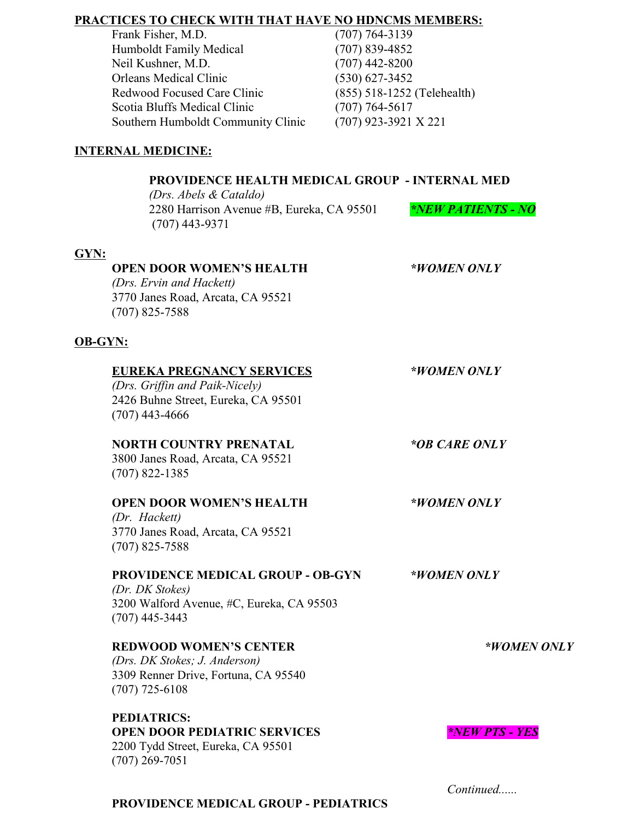# PRACTICES TO CHECK WITH THAT HAVE NO HDNCMS MEMBERS:

| Frank Fisher, M.D.                 | $(707) 764 - 3139$          |
|------------------------------------|-----------------------------|
| Humboldt Family Medical            | $(707)$ 839-4852            |
| Neil Kushner, M.D.                 | $(707)$ 442-8200            |
| Orleans Medical Clinic             | $(530)$ 627-3452            |
| Redwood Focused Care Clinic        | (855) 518-1252 (Telehealth) |
| Scotia Bluffs Medical Clinic       | $(707) 764 - 5617$          |
| Southern Humboldt Community Clinic | $(707)$ 923-3921 X 221      |
|                                    |                             |

# INTERNAL MEDICINE:

# PROVIDENCE HEALTH MEDICAL GROUP - INTERNAL MED

(Drs. Abels & Cataldo) 2280 Harrison Avenue #B, Eureka, CA 95501  $*NEW\sqrt{PATIENTS - NO}$ (707) 443-9371

# GYN:

| <b>OPEN DOOR WOMEN'S HEALTH</b>   | *WOMEN ONLY |
|-----------------------------------|-------------|
| (Drs. Ervin and Hackett)          |             |
| 3770 Janes Road, Arcata, CA 95521 |             |
| $(707)$ 825-7588                  |             |

# OB-GYN:

| <b>EUREKA PREGNANCY SERVICES</b><br>(Drs. Griffin and Paik-Nicely)<br>2426 Buhne Street, Eureka, CA 95501<br>$(707)$ 443-4666 | *WOMEN ONLY                  |
|-------------------------------------------------------------------------------------------------------------------------------|------------------------------|
| <b>NORTH COUNTRY PRENATAL</b><br>3800 Janes Road, Arcata, CA 95521<br>$(707)$ 822-1385                                        | *OB CARE ONLY                |
| <b>OPEN DOOR WOMEN'S HEALTH</b><br>(Dr. Hackett)<br>3770 Janes Road, Arcata, CA 95521<br>$(707)$ 825-7588                     | *WOMEN ONLY                  |
| <b>PROVIDENCE MEDICAL GROUP - OB-GYN</b><br>(Dr. DK Stokes)<br>3200 Walford Avenue, #C, Eureka, CA 95503<br>$(707)$ 445-3443  | *WOMEN ONLY                  |
| <b>REDWOOD WOMEN'S CENTER</b><br>(Drs. DK Stokes; J. Anderson)<br>3309 Renner Drive, Fortuna, CA 95540<br>$(707)$ 725-6108    | *WOMEN ONLY                  |
| <b>PEDIATRICS:</b><br><b>OPEN DOOR PEDIATRIC SERVICES</b><br>2200 Tydd Street, Eureka, CA 95501<br>$(707)$ 269-7051           | <i><b>*NEW PTS - YES</b></i> |

### PROVIDENCE MEDICAL GROUP - PEDIATRICS

Continued......